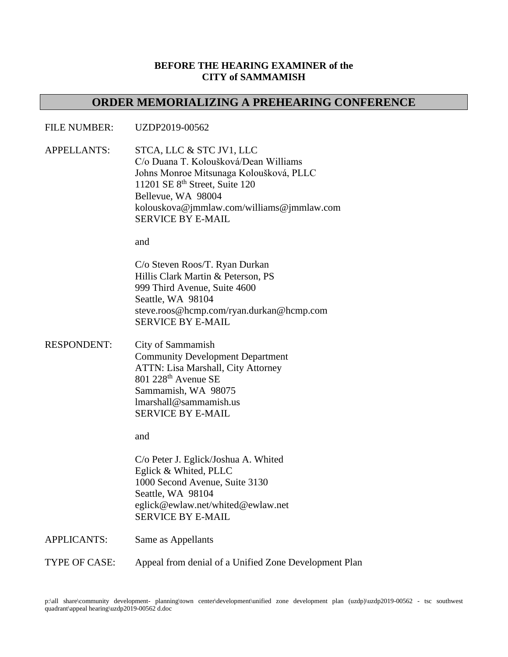## **BEFORE THE HEARING EXAMINER of the CITY of SAMMAMISH**

## **ORDER MEMORIALIZING A PREHEARING CONFERENCE**

## FILE NUMBER: UZDP2019-00562

APPELLANTS: STCA, LLC & STC JV1, LLC C/o Duana T. Koloušková/Dean Williams Johns Monroe Mitsunaga Koloušková, PLLC 11201 SE 8<sup>th</sup> Street, Suite 120 Bellevue, WA 98004 kolouskova@jmmlaw.com/williams@jmmlaw.com SERVICE BY E-MAIL

and

C/o Steven Roos/T. Ryan Durkan Hillis Clark Martin & Peterson, PS 999 Third Avenue, Suite 4600 Seattle, WA 98104 steve.roos@hcmp.com/ryan.durkan@hcmp.com SERVICE BY E-MAIL

RESPONDENT: City of Sammamish Community Development Department ATTN: Lisa Marshall, City Attorney  $801$  228<sup>th</sup> Avenue SE Sammamish, WA 98075 lmarshall@sammamish.us SERVICE BY E-MAIL

and

C/o Peter J. Eglick/Joshua A. Whited Eglick & Whited, PLLC 1000 Second Avenue, Suite 3130 Seattle, WA 98104 eglick@ewlaw.net/whited@ewlaw.net SERVICE BY E-MAIL

APPLICANTS: Same as Appellants

TYPE OF CASE: Appeal from denial of a Unified Zone Development Plan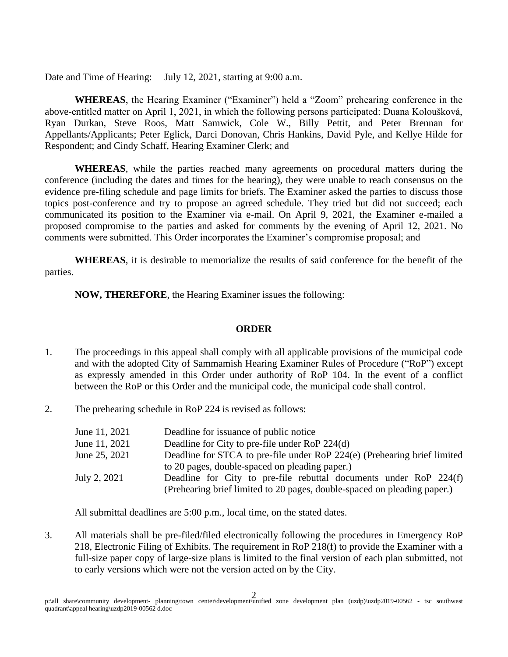Date and Time of Hearing: July 12, 2021, starting at 9:00 a.m.

**WHEREAS**, the Hearing Examiner ("Examiner") held a "Zoom" prehearing conference in the above-entitled matter on April 1, 2021, in which the following persons participated: Duana Koloušková, Ryan Durkan, Steve Roos, Matt Samwick, Cole W., Billy Pettit, and Peter Brennan for Appellants/Applicants; Peter Eglick, Darci Donovan, Chris Hankins, David Pyle, and Kellye Hilde for Respondent; and Cindy Schaff, Hearing Examiner Clerk; and

**WHEREAS**, while the parties reached many agreements on procedural matters during the conference (including the dates and times for the hearing), they were unable to reach consensus on the evidence pre-filing schedule and page limits for briefs. The Examiner asked the parties to discuss those topics post-conference and try to propose an agreed schedule. They tried but did not succeed; each communicated its position to the Examiner via e-mail. On April 9, 2021, the Examiner e-mailed a proposed compromise to the parties and asked for comments by the evening of April 12, 2021. No comments were submitted. This Order incorporates the Examiner's compromise proposal; and

**WHEREAS**, it is desirable to memorialize the results of said conference for the benefit of the parties.

**NOW, THEREFORE**, the Hearing Examiner issues the following:

## **ORDER**

- 1. The proceedings in this appeal shall comply with all applicable provisions of the municipal code and with the adopted City of Sammamish Hearing Examiner Rules of Procedure ("RoP") except as expressly amended in this Order under authority of RoP 104. In the event of a conflict between the RoP or this Order and the municipal code, the municipal code shall control.
- 2. The prehearing schedule in RoP 224 is revised as follows:

| June 11, 2021 | Deadline for issuance of public notice                                   |
|---------------|--------------------------------------------------------------------------|
| June 11, 2021 | Deadline for City to pre-file under RoP 224(d)                           |
| June 25, 2021 | Deadline for STCA to pre-file under RoP 224(e) (Prehearing brief limited |
|               | to 20 pages, double-spaced on pleading paper.)                           |
| July 2, 2021  | Deadline for City to pre-file rebuttal documents under RoP 224(f)        |
|               | (Prehearing brief limited to 20 pages, double-spaced on pleading paper.) |

All submittal deadlines are 5:00 p.m., local time, on the stated dates.

3. All materials shall be pre-filed/filed electronically following the procedures in Emergency RoP 218, Electronic Filing of Exhibits. The requirement in RoP 218(f) to provide the Examiner with a full-size paper copy of large-size plans is limited to the final version of each plan submitted, not to early versions which were not the version acted on by the City.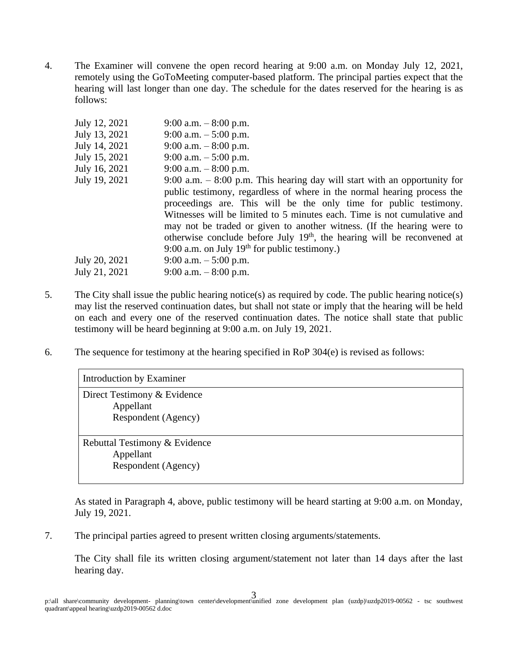4. The Examiner will convene the open record hearing at 9:00 a.m. on Monday July 12, 2021, remotely using the GoToMeeting computer-based platform. The principal parties expect that the hearing will last longer than one day. The schedule for the dates reserved for the hearing is as follows:

| July 12, 2021 | 9:00 a.m. $-8:00$ p.m.                                                                                                                                                                                                                                                                                                                                                                                                                                                                                           |
|---------------|------------------------------------------------------------------------------------------------------------------------------------------------------------------------------------------------------------------------------------------------------------------------------------------------------------------------------------------------------------------------------------------------------------------------------------------------------------------------------------------------------------------|
| July 13, 2021 | 9:00 a.m. $-5:00$ p.m.                                                                                                                                                                                                                                                                                                                                                                                                                                                                                           |
| July 14, 2021 | 9:00 a.m. $-8:00$ p.m.                                                                                                                                                                                                                                                                                                                                                                                                                                                                                           |
| July 15, 2021 | 9:00 a.m. $-5:00$ p.m.                                                                                                                                                                                                                                                                                                                                                                                                                                                                                           |
| July 16, 2021 | 9:00 a.m. $-8:00$ p.m.                                                                                                                                                                                                                                                                                                                                                                                                                                                                                           |
| July 19, 2021 | 9:00 a.m. $-$ 8:00 p.m. This hearing day will start with an opportunity for<br>public testimony, regardless of where in the normal hearing process the<br>proceedings are. This will be the only time for public testimony.<br>Witnesses will be limited to 5 minutes each. Time is not cumulative and<br>may not be traded or given to another witness. (If the hearing were to<br>otherwise conclude before July $19th$ , the hearing will be reconvened at<br>9:00 a.m. on July $19th$ for public testimony.) |
| July 20, 2021 | 9:00 a.m. $-5:00$ p.m.                                                                                                                                                                                                                                                                                                                                                                                                                                                                                           |
| July 21, 2021 | 9:00 a.m. $-8:00$ p.m.                                                                                                                                                                                                                                                                                                                                                                                                                                                                                           |

- 5. The City shall issue the public hearing notice(s) as required by code. The public hearing notice(s) may list the reserved continuation dates, but shall not state or imply that the hearing will be held on each and every one of the reserved continuation dates. The notice shall state that public testimony will be heard beginning at 9:00 a.m. on July 19, 2021.
- 6. The sequence for testimony at the hearing specified in RoP 304(e) is revised as follows:

| Introduction by Examiner                                          |  |  |
|-------------------------------------------------------------------|--|--|
| Direct Testimony & Evidence<br>Appellant<br>Respondent (Agency)   |  |  |
| Rebuttal Testimony & Evidence<br>Appellant<br>Respondent (Agency) |  |  |

As stated in Paragraph 4, above, public testimony will be heard starting at 9:00 a.m. on Monday, July 19, 2021.

7. The principal parties agreed to present written closing arguments/statements.

The City shall file its written closing argument/statement not later than 14 days after the last hearing day.